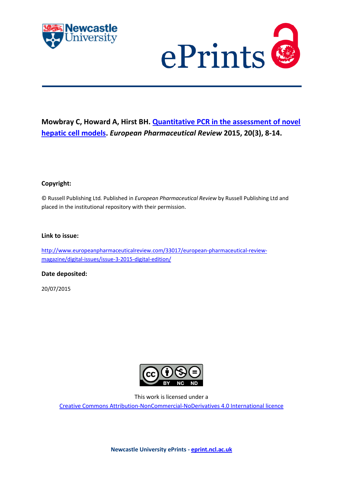



## **Mowbray C, Howard A, Hirst BH. [Quantitative PCR in the assessment of novel](javascript:ViewPublication(214295);)  [hepatic cell models.](javascript:ViewPublication(214295);)** *European Pharmaceutical Review* **2015, 20(3), 8-14.**

#### **Copyright:**

© Russell Publishing Ltd*.* Published in *European Pharmaceutical Review* by Russell Publishing Ltd and placed in the institutional repository with their permission.

#### **Link to issue:**

[http://www.europeanpharmaceuticalreview.com/33017/european-pharmaceutical-review](http://www.europeanpharmaceuticalreview.com/33017/european-pharmaceutical-review-magazine/digital-issues/issue-3-2015-digital-edition/)[magazine/digital-issues/issue-3-2015-digital-edition/](http://www.europeanpharmaceuticalreview.com/33017/european-pharmaceutical-review-magazine/digital-issues/issue-3-2015-digital-edition/)

#### **Date deposited:**

20/07/2015



This work is licensed under a

[Creative Commons Attribution-NonCommercial-NoDerivatives 4.0 International licence](https://creativecommons.org/licenses/by-nc-nd/4.0/)

**Newcastle University ePrints - [eprint.ncl.ac.uk](http://eprint.ncl.ac.uk/)**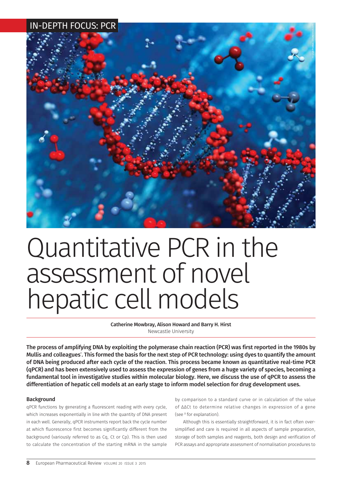

# Quantitative PCR in the assessment of novel hepatic cell models

Catherine Mowbray, Alison Howard and Barry H. Hirst Newcastle University

The process of amplifying DNA by exploiting the polymerase chain reaction (PCR) was first reported in the 1980s by Mullis and colleagues**<sup>1</sup>** . This formed the basis for the next step of PCR technology: using dyes to quantify the amount of DNA being produced after each cycle of the reaction. This process became known as quantitative real-time PCR (qPCR) and has been extensively used to assess the expression of genes from a huge variety of species, becoming a fundamental tool in investigative studies within molecular biology. Here, we discuss the use of qPCR to assess the differentiation of hepatic cell models at an early stage to inform model selection for drug development uses.

#### **Background**

qPCR functions by generating a fluorescent reading with every cycle, which increases exponentially in line with the quantity of DNA present in each well. Generally, qPCR instruments report back the cycle number at which fluorescence first becomes significantly different from the background (variously referred to as Cq, Ct or Cp). This is then used to calculate the concentration of the starting mRNA in the sample

by comparison to a standard curve or in calculation of the value of ΔΔCt to determine relative changes in expression of a gene (see **<sup>2</sup>** for explanation).

Although this is essentially straightforward, it is in fact often oversimplified and care is required in all aspects of sample preparation, storage of both samples and reagents, both design and verification of PCR assays and appropriate assessment of normalisation procedures to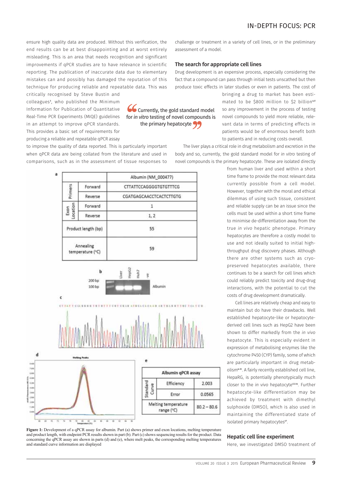ensure high quality data are produced. Without this verification, the end results can be at best disappointing and at worst entirely misleading. This is an area that needs recognition and significant improvements if qPCR studies are to have relevance in scientific reporting. The publication of inaccurate data due to elementary mistakes can and possibly has damaged the reputation of this technique for producing reliable and repeatable data. This was

critically recognised by Steve Bustin and colleagues**<sup>3</sup>** , who published the Minimum Information for Publication of Quantitative Real-Time PCR Experiments (MIOE) guidelines in an attempt to improve qPCR standards. This provides a basic set of requirements for producing a reliable and repeatable qPCR assay

**CG** Currently, the gold standard model for *in vitro* testing of novel compounds is the primary hepatocyte

assessment of a model.

The search for appropriate cell lines

produce toxic effects in later studies or even in patients. The cost of bringing a drug to market has been estimated to be \$800 million to \$2 billion**4,5** so any improvement in the process of testing novel compounds to yield more reliable, relevant data in terms of predicting effects in patients would be of enormous benefit both to patients and in reducing costs overall.

The liver plays a critical role in drug metabolism and excretion in the body and so, currently, the gold standard model for *in vitro* testing of novel compounds is the primary hepatocyte. These are isolated directly

challenge or treatment in a variety of cell lines, or in the preliminary

Drug development is an expensive process, especially considering the fact that a compound can pass through initial tests unscathed but then

> from human liver and used within a short time frame to provide the most relevant data currently possible from a cell model. However, together with the moral and ethical dilemmas of using such tissue, consistent and reliable supply can be an issue since the cells must be used within a short time frame to minimise de-differentiation away from the true *in vivo* hepatic phenotype. Primary hepatocytes are therefore a costly model to use and not ideally suited to initial highthroughput drug discovery phases. Although there are other systems such as cryopreserved hepatocytes available, there continues to be a search for cell lines which could reliably predict toxicity and drug-drug interactions, with the potential to cut the costs of drug development dramatically.

> Cell lines are relatively cheap and easy to maintain but do have their drawbacks. Well established hepatocyte-like or hepatocytederived cell lines such as HepG2 have been shown to differ markedly from the *in vivo* hepatocyte. This is especially evident in expression of metabolising enzymes like the cytochrome P450 (CYP) family, some of which are particularly important in drug metabolism**6-11**. A fairly recently established cell line, HepaRG, is potentially phenotypically much closer to the *in vivo* hepatocyte**12-16**. Further hepatocyte-like differentiation may be achieved by treatment with dimethyl sulphoxide (DMSO), which is also used in maintaining the differentiated state of isolated primary hepatocytes**17**.

#### Hepatic cell line experiment

Here, we investigated DMSO treatment of



**Figure 1:** Development of a qPCR assay for albumin. Part (a) shows primer and exon locations, melting temperature and product length, with endpoint PCR results shown in part (b). Part (c) shows sequencing results for the product. Data concerning the qPCR assay are shown in parts (d) and (e), where melt peaks, the corresponding melting temperatures and standard curve information are displayed

to improve the quality of data reported. This is particularly important when qPCR data are being collated from the literature and used in

comparisons, such as in the assessment of tissue responses to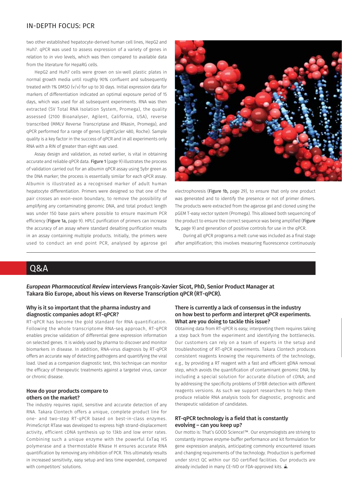two other established hepatocyte-derived human cell lines, HepG2 and Huh7. qPCR was used to assess expression of a variety of genes in relation to *in vivo* levels, which was then compared to available data from the literature for HepaRG cells.

HepG2 and Huh7 cells were grown on six-well plastic plates in normal growth media until roughly 90% confluent and subsequently treated with 1% DMSO (v/v) for up to 30 days. Initial expression data for markers of differentiation indicated an optimal exposure period of 15 days, which was used for all subsequent experiments. RNA was then extracted (SV Total RNA Isolation System, Promega), the quality assessed (2100 Bioanalyser, Agilent, California, USA), reverse transcribed (MMLV Reverse Transcriptase and RNasin, Promega), and qPCR performed for a range of genes (LightCycler 480, Roche). Sample quality is a key factor in the success of qPCR and in all experiments only RNA with a RIN of greater than eight was used.

Assay design and validation, as noted earlier, is vital in obtaining accurate and reliable qPCR data. Figure 1 (page 9) illustrates the process of validation carried out for an albumin qPCR assay using Sybr green as the DNA marker; the process is essentially similar for each qPCR assay. Albumin is illustrated as a recognised marker of adult human hepatocyte differentiation. Primers were designed so that one of the pair crosses an exon-exon boundary, to remove the possibility of amplifying any contaminating genomic DNA, and total product length was under 150 base pairs where possible to ensure maximum PCR efficiency (Figure 1a, page 9). HPLC purification of primers can increase the accuracy of an assay where standard desalting purification results in an assay containing multiple products. Initially, the primers were used to conduct an end point PCR, analysed by agarose gel



electrophoresis (Figure 1b, page 29), to ensure that only one product was generated and to identify the presence or not of primer dimers. The products were extracted from the agarose gel and cloned using the pGEM T-easy vector system (Promega). This allowed both sequencing of the product to ensure the correct sequence was being amplified (Figure 1c, page 9) and generation of positive controls for use in the qPCR.

During all qPCR programs a melt curve was included as a final stage after amplification; this involves measuring fluorescence continuously

### Q&A

*European Pharmaceutical Review* interviews François-Xavier Sicot, PhD, Senior Product Manager at Takara Bio Europe, about his views on Reverse Transcription qPCR (RT-qPCR).

#### Why is it so important that the pharma industry and diagnostic companies adopt RT-qPCR?

RT-qPCR has become the gold standard for RNA quantification. Following the whole transcriptome RNA-seq approach, RT-qPCR enables precise validation of differential gene expression information on selected genes. It is widely used by pharma to discover and monitor biomarkers in disease. In addition, RNA-virus diagnosis by RT-qPCR offers an accurate way of detecting pathogens and quantifying the viral load. Used as a companion diagnostic test, this technique can monitor the efficacy of therapeutic treatments against a targeted virus, cancer or chronic disease.

#### How do your products compare to others on the market?

The industry requires rapid, sensitive and accurate detection of any RNA. Takara Clontech offers a unique, complete product line for one- and two-step RT-qPCR based on best-in-class enzymes. PrimeScript RTase was developed to express high strand-displacement activity, efficient cDNA synthesis up to 13kb and low error rates. Combining such a unique enzyme with the powerful ExTaq HS polymerase and a thermostable RNase H ensures accurate RNA quantification by removing any inhibition of PCR. This ultimately results in increased sensitivity, easy setup and less time expended, compared with competitors' solutions.

#### There is currently a lack of consensus in the industry on how best to perform and interpret qPCR experiments. What are you doing to tackle this issue?

Obtaining data from RT-qPCR is easy; interpreting them requires taking a step back from the experiment and identifying the bottlenecks. Our customers can rely on a team of experts in the setup and troubleshooting of RT-qPCR experiments. Takara Clontech produces consistent reagents knowing the requirements of the technology, e.g., by providing a RT reagent with a fast and efficient gDNA removal step, which avoids the quantification of contaminant genomic DNA; by including a special solution for accurate dilution of cDNA; and by addressing the specificity problems of SYBR detection with different reagents versions. As such we support researchers to help them produce reliable RNA analysis tools for diagnostic, prognostic and therapeutic validation of candidates.

#### RT-qPCR technology is a field that is constantly evolving – can you keep up?

Our motto is: That's GOOD Science!™. Our enzymologists are striving to constantly improve enzyme-buffer performance and kit formulation for gene expression analysis, anticipating commonly encountered issues and changing requirements of the technology. Production is performed under strict QC within our ISO certified facilities. Our products are already included in many CE-IVD or FDA-approved kits.  $\triangle$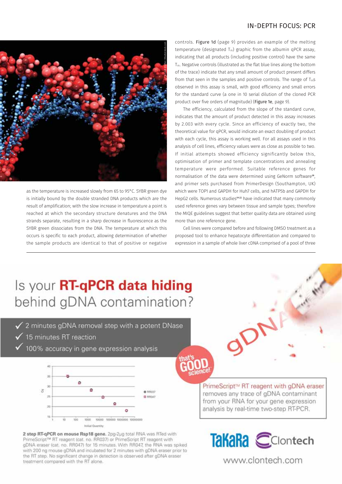

as the temperature is increased slowly from 65 to 95°C. SYBR green dye is initially bound by the double stranded DNA products which are the result of amplification; with the slow increase in temperature a point is reached at which the secondary structure denatures and the DNA strands separate, resulting in a sharp decrease in fluorescence as the SYBR green dissociates from the DNA. The temperature at which this occurs is specific to each product, allowing determination of whether the sample products are identical to that of positive or negative

controls. Figure 1d (page 9) provides an example of the melting temperature (designated  $T_m$ ) graphic from the albumin qPCR assay, indicating that all products (including positive control) have the same  $T_m$ . Negative controls (illustrated as the flat blue lines along the bottom of the trace) indicate that any small amount of product present differs from that seen in the samples and positive controls. The range of  $T_m$ s observed in this assay is small, with good efficiency and small errors for the standard curve (a one in 10 serial dilution of the cloned PCR product over five orders of magnitude) (Figure 1e, page 9).

The efficiency, calculated from the slope of the standard curve, indicates that the amount of product detected in this assay increases by 2.003 with every cycle. Since an efficiency of exactly two, the theoretical value for qPCR, would indicate an exact doubling of product with each cycle, this assay is working well. For all assays used in this analysis of cell lines, efficiency values were as close as possible to two. If initial attempts showed efficiency significantly below this, optimisation of primer and template concentrations and annealing temperature were performed. Suitable reference genes for normalisation of the data were determined using GeNorm software**18**, and primer sets purchased from PrimerDesign (Southampton, UK) which were TOP1 and GAPDH for Huh7 cells, and hATP5b and GAPDH for HepG2 cells. Numerous studies**19-22** have indicated that many commonly used reference genes vary between tissue and sample types; therefore the MIQE guidelines suggest that better quality data are obtained using more than one reference gene.

Cell lines were compared before and following DMSO treatment as a proposed tool to enhance hepatocyte differentiation and compared to expression in a sample of whole liver cDNA comprised of a pool of three

gor

# Is your **RT-qPCR data hiding** behind gDNA contamination?

- ✔ 2 minutes gDNA removal step with a potent DNase
- $\checkmark$  15 minutes RT reaction
- 100% accuracy in gene expression analysis



2 step RT-qPCR on mouse Rsp18 gene. 2pg-2ug total RNA was RTed with PrimeScript™ RT reagent (cat. no. RR037) or PrimeScript RT reagent with gDNA eraser (cat. no. RR047) for 15 minutes. With RR047, the RNA was spiked with 200 ng mouse gDNA and incubated for 2 minutes with gDNA eraser prior to the RT step. No significant change in detection is observed after gDNA eraser treatment compared with the RT alone.

PrimeScript™ RT reagent with gDNA eraser removes any trace of gDNA contaminant from your RNA for your gene expression analysis by real-time two-step RT-PCR.



www.clontech.com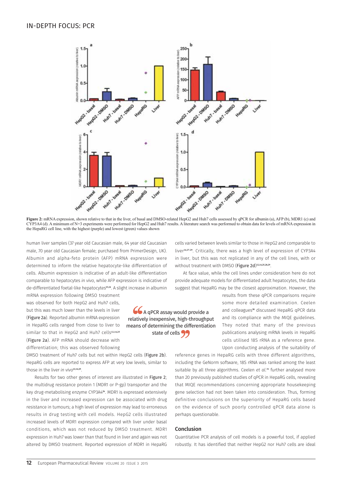

**Figure 2:** mRNA expression, shown relative to that in the liver, of basal and DMSO-related HepG2 and Huh7 cells assessed by qPCR for albumin (a), AFP (b), MDR1 (c) and CYP3A4 (d). A minimum of N=3 experiments were performed for HepG2 and Huh7 results. A literature search was performed to obtain data for levels of mRNA expression in the HepaRG cell line, with the highest (purple) and lowest (green) values shown

66 A qPCR assay would provide a relatively inexpensive, high-throughput means of determining the differentiation state of cells **99** 

human liver samples (37 year old Caucasian male, 64 year old Caucasian male, 70 year old Caucasian female; purchased from PrimerDesign, UK). Albumin and alpha-feto protein (AFP) mRNA expression were determined to inform the relative hepatocyte-like differentiation of cells. Albumin expression is indicative of an adult-like differentiation comparable to hepatocytes *in vivo*, while AFP expression is indicative of de-differentiated foetal-like hepatocytes**23,24**. A slight increase in albumin

mRNA expression following DMSO treatment was observed for both HepG2 and Huh7 cells, but this was much lower than the levels in liver (Figure 2a). Reported albumin mRNA expression in HepaRG cells ranged from close to liver to similar to that in HepG2 and Huh7 cells<sup>12,14,25</sup> (Figure 2a). AFP mRNA should decrease with differentiation; this was observed following

DMSO treatment of Huh7 cells but not within HepG2 cells (Figure 2b). HepaRG cells are reported to express AFP at very low levels, similar to those in the liver *in vivo***12,14,25**.

Results for two other genes of interest are illustrated in Figure 2; the multidrug resistance protein 1 (MDR1 or P-gp) transporter and the key drug-metabolising enzyme CYP3A4**26**. MDR1 is expressed extensively in the liver and increased expression can be associated with drug resistance in tumours; a high level of expression may lead to erroneous results in drug testing with cell models. HepG2 cells illustrated increased levels of MDR1 expression compared with liver under basal conditions, which was not reduced by DMSO treatment. MDR1 expression in Huh7 was lower than that found in liver and again was not altered by DMSO treatment. Reported expression of MDR1 in HepaRG

without treatment with DMSO (Figure 2d) **12,14,25,28,29**. At face value, while the cell lines under consideration here do not provide adequate models for differentiated adult hepatocytes, the data suggest that HepaRG may be the closest approximation. However, the

cells varied between levels similar to those in HepG2 and comparable to liver**14,27-29**. Critically, there was a high level of expression of CYP3A4 in liver, but this was not replicated in any of the cell lines, with or

> results from these qPCR comparisons require some more detailed examination. Ceelen and colleagues**<sup>30</sup>** discussed HepaRG qPCR data and its compliance with the MIQE guidelines. They noted that many of the previous publications analysing mRNA levels in HepaRG cells utilised 18S rRNA as a reference gene. Upon conducting analysis of the suitability of

reference genes in HepaRG cells with three different algorithms, including the GeNorm software, 18S rRNA was ranked among the least suitable by all three algorithms. Ceelen *et al.*<sup>31</sup> further analysed more than 20 previously published studies of qPCR in HepaRG cells, revealing that MIQE recommendations concerning appropriate housekeeping gene selection had not been taken into consideration. Thus, forming definitive conclusions on the superiority of HepaRG cells based on the evidence of such poorly controlled qPCR data alone is perhaps questionable.

#### Conclusion

Quantitative PCR analysis of cell models is a powerful tool, if applied robustly. It has identified that neither HepG2 nor Huh7 cells are ideal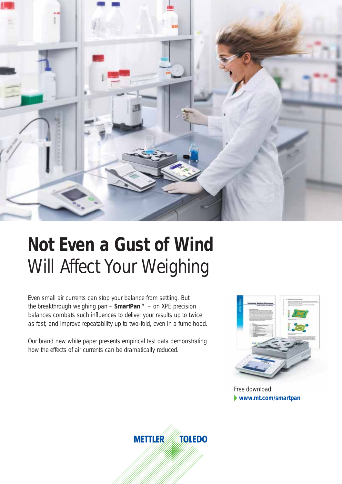

# **Not Even a Gust of Wind**  Will Affect Your Weighing

Even small air currents can stop your balance from settling. But the breakthrough weighing pan – **SmartPan™** – on XPE precision balances combats such influences to deliver your results up to twice as fast, and improve repeatability up to two-fold, even in a fume hood.

Our brand new white paper presents empirical test data demonstrating how the effects of air currents can be dramatically reduced.



**www.mt.com/smartpan** Free download: